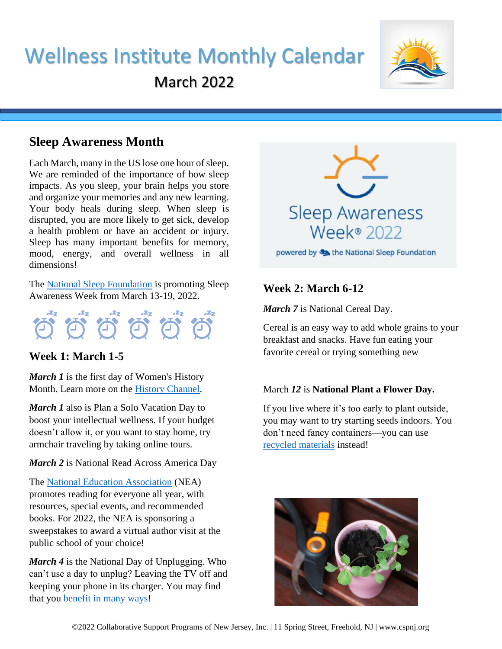# Wellness Institute Monthly Calendar March 2022



## **Sleep Awareness Month**

Each March, many in the US lose one hour of sleep. We are reminded of the importance of how sleep impacts. As you sleep, your brain helps you store and organize your memories and any new learning. Your body heals during sleep. When sleep is disrupted, you are more likely to get sick, develop a health problem or have an accident or injury. Sleep has many important benefits for memory, mood, energy, and overall wellness in all dimensions!

The [National Sleep Foundation](https://www.thensf.org/sleep-awareness-week/) is promoting Sleep Awareness Week from March 13-19, 2022.



## **Week 1: March 1-5**

*March 1* is the first day of Women's History Month. Learn more on the [History Channel.](https://www.history.com/topics/holidays/womens-history-month)

*March 1* also is Plan a Solo Vacation Day to boost your intellectual wellness. If your budget doesn't allow it, or you want to stay home, try armchair traveling by taking online tours.

#### *March 2* is National Read Across America Day

The [National Education Association](https://www.nea.org/professional-excellence/student-engagement/read-across-america) (NEA) promotes reading for everyone all year, with resources, special events, and recommended books. For 2022, the NEA is sponsoring a sweepstakes to award a virtual author visit at the public school of your choice!

*March 4* is the National Day of Unplugging. Who can't use a day to unplug? Leaving the TV off and keeping your phone in its charger. You may find that you [benefit in many ways!](https://www.nationaldayofunplugging.com/why-it-matters)



**Week 2: March 6-12**

*March 7* is National Cereal Day.

Cereal is an easy way to add whole grains to your breakfast and snacks. Have fun eating your favorite cereal or trying something new

#### March *12* is **National Plant a Flower Day.**

If you live where it's too early to plant outside, you may want to try starting seeds indoors. You don't need fancy containers—you can use [recycled materials](https://communityenvironment.unl.edu/recycled-containers) instead!